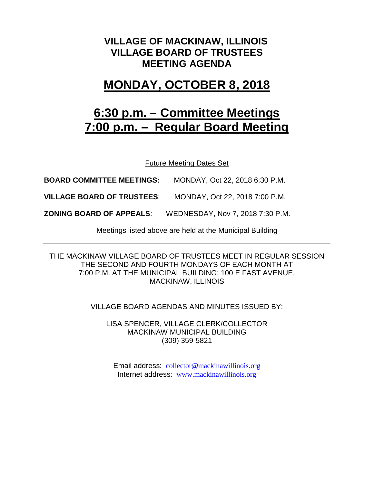### **VILLAGE OF MACKINAW, ILLINOIS VILLAGE BOARD OF TRUSTEES MEETING AGENDA**

## **MONDAY, OCTOBER 8, 2018**

# **6:30 p.m. – Committee Meetings 7:00 p.m. – Regular Board Meeting**

Future Meeting Dates Set

**BOARD COMMITTEE MEETINGS:** MONDAY, Oct 22, 2018 6:30 P.M.

**VILLAGE BOARD OF TRUSTEES**: MONDAY, Oct 22, 2018 7:00 P.M.

**ZONING BOARD OF APPEALS**: WEDNESDAY, Nov 7, 2018 7:30 P.M.

Meetings listed above are held at the Municipal Building

THE MACKINAW VILLAGE BOARD OF TRUSTEES MEET IN REGULAR SESSION THE SECOND AND FOURTH MONDAYS OF EACH MONTH AT 7:00 P.M. AT THE MUNICIPAL BUILDING; 100 E FAST AVENUE, MACKINAW, ILLINOIS

#### VILLAGE BOARD AGENDAS AND MINUTES ISSUED BY:

LISA SPENCER, VILLAGE CLERK/COLLECTOR MACKINAW MUNICIPAL BUILDING (309) 359-5821

Email address: [collector@mackinawillinois.org](mailto:collector@mackinawillinois.org) Internet address: [www.mackinawillinois.org](http://www.mackinawillinois.org/)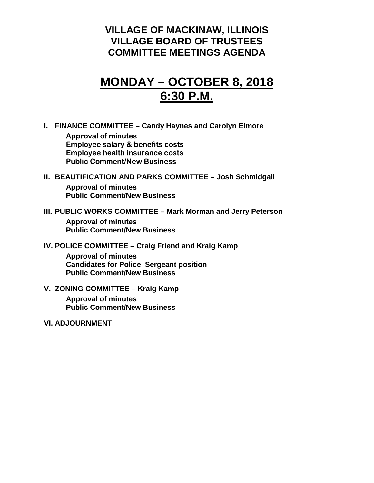### **VILLAGE OF MACKINAW, ILLINOIS VILLAGE BOARD OF TRUSTEES COMMITTEE MEETINGS AGENDA**

## **MONDAY – OCTOBER 8, 2018 6:30 P.M.**

**I. FINANCE COMMITTEE – Candy Haynes and Carolyn Elmore**

**Approval of minutes Employee salary & benefits costs Employee health insurance costs Public Comment/New Business**

#### **II. BEAUTIFICATION AND PARKS COMMITTEE – Josh Schmidgall Approval of minutes Public Comment/New Business**

#### **III. PUBLIC WORKS COMMITTEE – Mark Morman and Jerry Peterson**

**Approval of minutes Public Comment/New Business**

#### **IV. POLICE COMMITTEE – Craig Friend and Kraig Kamp**

**Approval of minutes Candidates for Police Sergeant position Public Comment/New Business**

- **V. ZONING COMMITTEE – Kraig Kamp Approval of minutes Public Comment/New Business**
- **VI. ADJOURNMENT**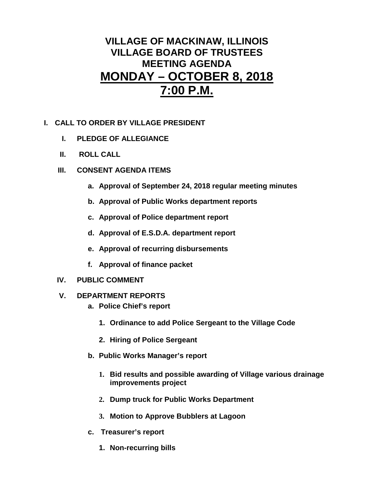### **VILLAGE OF MACKINAW, ILLINOIS VILLAGE BOARD OF TRUSTEES MEETING AGENDA MONDAY – OCTOBER 8, 2018 7:00 P.M.**

- **I. CALL TO ORDER BY VILLAGE PRESIDENT**
	- **I. PLEDGE OF ALLEGIANCE**
	- **II. ROLL CALL**
	- **III. CONSENT AGENDA ITEMS** 
		- **a. Approval of September 24, 2018 regular meeting minutes**
		- **b. Approval of Public Works department reports**
		- **c. Approval of Police department report**
		- **d. Approval of E.S.D.A. department report**
		- **e. Approval of recurring disbursements**
		- **f. Approval of finance packet**
	- **IV. PUBLIC COMMENT**
	- **V. DEPARTMENT REPORTS** 
		- **a. Police Chief's report**
			- **1. Ordinance to add Police Sergeant to the Village Code**
			- **2. Hiring of Police Sergeant**
		- **b. Public Works Manager's report**
			- **1. Bid results and possible awarding of Village various drainage improvements project**
			- **2. Dump truck for Public Works Department**
			- **3. Motion to Approve Bubblers at Lagoon**
		- **c. Treasurer's report**
			- **1. Non-recurring bills**